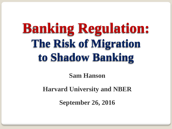# **Banking Regulation: The Risk of Migration to Shadow Banking**

**Sam Hanson**

**Harvard University and NBER**

**September 26, 2016**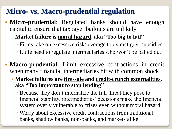### **Micro- vs. Macro-prudential regulation**

- **Micro-prudential**: Regulated banks should have enough capital to ensure that taxpayer bailouts are unlikely
	- **Market failure is moral hazard, aka "Too big to fail"**
		- Firms take on excessive risk/leverage to extract govt subsidies
		- Little need to regulate intermediaries who won't be bailed out
- **Macro-prudential**: Limit excessive contractions in credit when many financial intermediaries hit with common shock
	- **Market failures are fire-sale and credit-crunch externalities, aka "Too important to stop lending"**
		- Because they don't internalize the full threat they pose to financial stability, intermediaries' decisions make the financial system overly vulnerable to crises even without moral hazard
		- Worry about excessive credit contractions from traditional banks, shadow banks, non-banks, and markets alike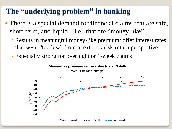### **The "underlying problem" in banking**

- There is a special demand for financial claims that are safe, short-term, and liquid—i.e., that are "money-like"
	- Results in meaningful money-like premium: offer interest rates that seem "too low" from a textbook risk-return perspective
	- Especially strong for overnight or 1-week claims

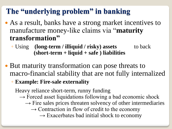# **The "underlying problem" in banking**

- As a result, banks have a strong market incentives to manufacture money-like claims via "**maturity transformation"**
	- Using **(long-term / illiquid / risky) assets** to back **(short-term + liquid + safe ) liabilities**
- But maturity transformation can pose threats to macro-financial stability that are not fully internalized
	- **Example: Fire-sale externality**

Heavy reliance short-term, runny funding

- $\rightarrow$  Forced asset liquidations following a bad economic shock
	- $\rightarrow$  Fire sales prices threaten solvency of other intermediaries
		- $\rightarrow$  Contraction in flow of credit to the economy

 $\rightarrow$  Exacerbates bad initial shock to economy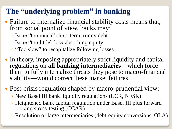# **The "underlying problem" in banking**

- Failure to internalize financial stability costs means that, from social point of view, banks may:
	- Issue "too much" short-term, runny debt
	- Issue "too little" loss-absorbing equity
	- "Too slow" to recapitalize following losses
- In theory, imposing appropriately strict liquidity and capital regulations on **all banking intermediaries**—which force them to fully internalize threats they pose to macro-financial stability—would correct these market failures
- Post-crisis regulation shaped by macro-prudential view:
	- New Basel III bank liquidity regulations (LCR, NFSR)
	- Heightened bank capital regulation under Basel III plus forward looking stress-testing (CCAR)
	- Resolution of large intermediaries (debt-equity conversions, OLA)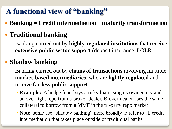# **A functional view of "banking"**

**Banking = Credit intermediation + maturity transformation**

### **Traditional banking**

◦ Banking carried out by **highly-regulated institutions** that **receive extensive public sector support** (deposit insurance, LOLR)

### **Shadow banking**

- Banking carried out by **chains of transactions** involving multiple **market-based intermediaries**, who are **lightly regulated** and receive **far less public support**
	- **Example:** A hedge fund buys a risky loan using its own equity and an overnight repo from a broker-dealer. Broker-dealer uses the same collateral to borrow from a MMF in the tri-party repo market
	- **Note**: some use "shadow banking" more broadly to refer to all credit intermediation that takes place outside of traditional banks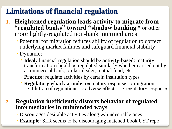### **Limitations of financial regulation**

- **1. Heightened regulation leads activity to migrate from "regulated banks" toward "shadow banking "** or other more lightly-regulated non-bank intermediaries
	- Potential for migration reduces ability of regulation to correct underlying market failures and safeguard financial stability
	- Dynamic:
		- **Ideal:** financial regulation should be **activity-based**: maturity transformation should be regulated similarly whether carried out by a commercial bank, broker-dealer, mutual fund, etc.
		- **Practice**: regulate activities by certain institution types
		- **Regulatory whack-a-mole**: regulatory response → migration  $\rightarrow$  dilution of regulations  $\rightarrow$  adverse effects  $\rightarrow$  regulatory response

#### **2. Regulation inefficiently distorts behavior of regulated intermediaries in unintended ways**

- Discourages desirable activities along w/ undesirable ones
- **Example**: SLR seems to be discouraging matched-book UST repo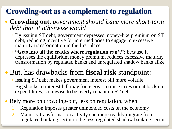# **Crowding-out as a complement to regulation**

#### **Crowding out**: *government should issue more short-term debt than it otherwise would*

- By issuing ST debt, government depresses money-like premium on ST debt, reducing incentive for intermediaries to engage in excessive maturity transformation in the first place
- **"Gets into all the cracks where regulation can't":** because it depresses the equilibrium money premium, reduces excessive maturity transformation by regulated banks and unregulated shadow banks alike

# But, has drawbacks from **fiscal risk** standpoint:

- Issuing ST debt makes government interest bill more volatile
- Big shocks to interest bill may force govt. to raise taxes or cut back on expenditures, so unwise to be overly reliant on ST debt
- Rely more on crowding-out, less on regulation, when:
	- Regulation imposes greater unintended costs on the economy
	- 2. Maturity transformation activity can more readily migrate from regulated banking sector to the less-regulated shadow banking sector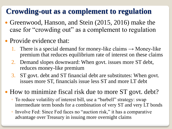### **Crowding-out as a complement to regulation**

- Greenwood, Hanson, and Stein (2015, 2016) make the case for "crowding out" as a complement to regulation
- Provide evidence that:
	- 1. There is a special demand for money-like claims  $\rightarrow$  Money-like premium that reduces equilibrium rate of interest on these claims
	- 2. Demand slopes downward: When govt. issues more ST debt, reduces money-like premium
	- 3. ST govt. debt and ST financial debt are substitutes: When govt. issues more ST, financials issue less ST and more LT debt
- How to minimize fiscal risk due to more ST govt. debt?
	- To reduce volatility of interest bill, use a "barbell" strategy: swap intermediate term bonds for a combination of very ST and very LT bonds
	- Involve Fed: Since Fed faces no "auction risk," it has a comparative advantage over Treasury in issuing more overnight claims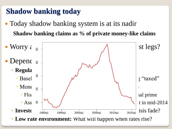# **Shadow banking today**

• Today shadow banking system is at its nadir **Shadow banking claims as % of private money-like claims**

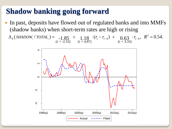### **Shadow banking going forward**

 In past, deposits have flowed out of regulated banks and into MMFs (shadow banks) when short-term rates are high or rising  $(SHADOW, /TOTAL_i) = -1.85 + 1.18 \cdot (r_t - r_{t-4}) + 0.63 \cdot r_{t-4}, R^2 = 0.54.$ 

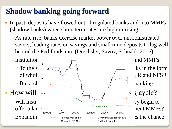# **Shadow banking going forward**

- In past, deposits have flowed out of regulated banks and into MMFs (shadow banks) when short-term rates are high or rising
	- As rate rise, banks exercise market power over unsophisticated savers, leading rates on savings and small time deposits to lag well behind the Fed funds rate (Drechsler, Savov, Schnabl, 2016)